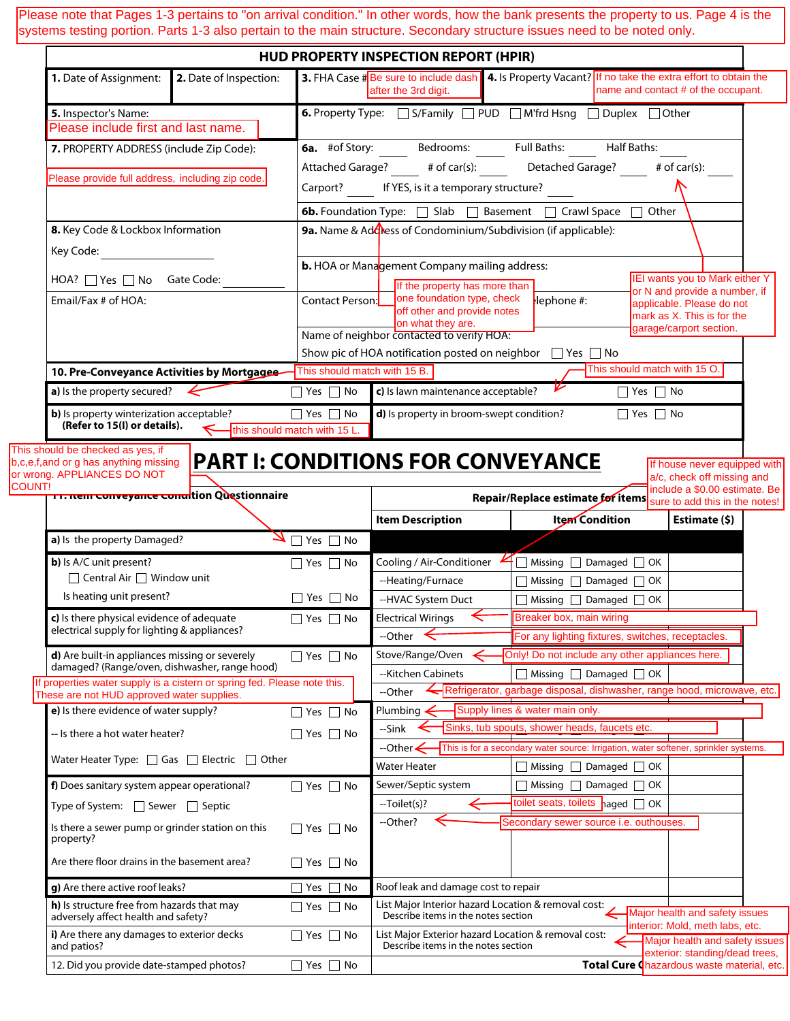Please note that Pages 1-3 pertains to "on arrival condition." In other words, how the bank presents the property to us. Page 4 is the<br>aveterns testing perties. Perta 1.2 also pertain to the majo etrusture. Secondary etrus systems testing portion. Parts 1-3 also pertain to the main structure. Secondary structure issues need to be noted only.

|                                                                                                                                |                                          | <b>HUD PROPERTY INSPECTION REPORT (HPIR)</b> |                                                                                                                               |                                                                                      |                              |                                                                   |
|--------------------------------------------------------------------------------------------------------------------------------|------------------------------------------|----------------------------------------------|-------------------------------------------------------------------------------------------------------------------------------|--------------------------------------------------------------------------------------|------------------------------|-------------------------------------------------------------------|
| 1. Date of Assignment:                                                                                                         | 2. Date of Inspection:                   |                                              | 3. FHA Case #Be sure to include dash 4. Is Property Vacant? If no take the extra effort to obtain the<br>after the 3rd digit. |                                                                                      |                              | name and contact # of the occupant.                               |
| 5. Inspector's Name:                                                                                                           |                                          |                                              | 6. Property Type: S/Family DPUD M'frd Hsng Duplex DOther                                                                      |                                                                                      |                              |                                                                   |
| Please include first and last name.                                                                                            |                                          |                                              |                                                                                                                               |                                                                                      |                              |                                                                   |
| 7. PROPERTY ADDRESS (include Zip Code):                                                                                        |                                          |                                              | <b>6a.</b> #of Story: Bedrooms: Full Baths: Half Baths:                                                                       |                                                                                      |                              |                                                                   |
|                                                                                                                                |                                          |                                              | Attached Garage? # of car(s): Detached Garage? # of car(s):                                                                   |                                                                                      |                              |                                                                   |
| Please provide full address, including zip code.                                                                               |                                          |                                              | Carport? If YES, is it a temporary structure?                                                                                 |                                                                                      |                              |                                                                   |
|                                                                                                                                |                                          |                                              | <b>6b.</b> Foundation Type: Slab Basement C Crawl Space C Other                                                               |                                                                                      |                              |                                                                   |
| 8. Key Code & Lockbox Information                                                                                              |                                          |                                              | 9a. Name & Adoress of Condominium/Subdivision (if applicable):                                                                |                                                                                      |                              |                                                                   |
| Key Code:                                                                                                                      |                                          |                                              |                                                                                                                               |                                                                                      |                              |                                                                   |
|                                                                                                                                |                                          |                                              | <b>b.</b> HOA or Management Company mailing address:                                                                          |                                                                                      |                              |                                                                   |
| HOA? Yes No Gate Code:                                                                                                         |                                          |                                              | IEI wants you to Mark either Y<br>If the property has more than                                                               |                                                                                      |                              |                                                                   |
| Email/Fax # of HOA:                                                                                                            |                                          |                                              | or N and provide a number, if<br>one foundation type, check<br>Contact Person:<br>$l$ lephone #:<br>applicable. Please do not |                                                                                      |                              |                                                                   |
|                                                                                                                                |                                          |                                              | off other and provide notes<br>on what they are.                                                                              |                                                                                      |                              | mark as X. This is for the<br>garage/carport section.             |
|                                                                                                                                |                                          |                                              | Name of neighbor contacted to verify HOA:                                                                                     |                                                                                      |                              |                                                                   |
|                                                                                                                                |                                          |                                              | Show pic of HOA notification posted on neighbor □ Yes □ No                                                                    |                                                                                      |                              |                                                                   |
| 10. Pre-Conveyance Activities by Mortgagee                                                                                     |                                          | This should match with 15 B.                 |                                                                                                                               |                                                                                      | This should match with 15 O. |                                                                   |
| <b>a</b> ) is the property secured? $\leftarrow$                                                                               |                                          | $\Box$ Yes $\Box$ No                         | c) Is lawn maintenance acceptable?                                                                                            |                                                                                      | $\Box$ Yes $\Box$ No         |                                                                   |
| <b>b)</b> Is property winterization acceptable?<br>(Refer to 15(I) or details).                                                |                                          | $\Box$ Yes $\Box$ No                         | d) Is property in broom-swept condition?                                                                                      |                                                                                      | $\Box$ Yes $\Box$ No         |                                                                   |
| This should be checked as yes, if<br>b, c, e, f, and or g has anything missing<br>or wrong. APPLIANCES DO NOT<br><b>COUNT!</b> | <b>PART I: CONDITIONS FOR CONVEYANCE</b> |                                              |                                                                                                                               |                                                                                      |                              | If house never equipped with<br>a/c, check off missing and        |
| <del>in mem conveyance conu</del> ition Questionnaire                                                                          |                                          |                                              |                                                                                                                               | Repair/Replace estimate for items sure to add this in the notes!                     |                              | include a \$0.00 estimate. Be                                     |
|                                                                                                                                |                                          |                                              | <b>Item Description</b>                                                                                                       | Item Condition                                                                       |                              | Estimate (\$)                                                     |
| a) Is the property Damaged?                                                                                                    |                                          | $\sqrt{N_{\text{res}}$ No                    |                                                                                                                               |                                                                                      |                              |                                                                   |
| b) Is A/C unit present?                                                                                                        |                                          | $\Box$ Yes $\Box$ No                         | Cooling / Air-Conditioner $\mathbf{4} \Box$ Missing $\Box$ Damaged $\Box$ OK                                                  |                                                                                      |                              |                                                                   |
| □ Central Air □ Window unit                                                                                                    |                                          |                                              | --Heating/Furnace                                                                                                             | Missing Damaged OK                                                                   |                              |                                                                   |
| Is heating unit present?                                                                                                       |                                          | $\Box$ Yes $\Box$ No                         | --HVAC System Duct                                                                                                            | $\Box$ Missing $\Box$ Damaged $\Box$ OK                                              |                              |                                                                   |
| c) Is there physical evidence of adequate                                                                                      |                                          | $\Box$ Yes $\Box$ No                         | <b>Electrical Wirings</b>                                                                                                     | Breaker box, main wiring                                                             |                              |                                                                   |
| electrical supply for lighting & appliances?                                                                                   |                                          |                                              | --Other                                                                                                                       | For any lighting fixtures, switches, receptacles.                                    |                              |                                                                   |
| d) Are built-in appliances missing or severely<br>damaged? (Range/oven, dishwasher, range hood)                                |                                          | $\Box$ Yes $\Box$ No                         | Stove/Range/Oven                                                                                                              | Only! Do not include any other appliances here.                                      |                              |                                                                   |
| If properties water supply is a cistern or spring fed. Please note this.                                                       |                                          |                                              | --Kitchen Cabinets                                                                                                            | $\Box$ Missing $\Box$ Damaged $\Box$ OK                                              |                              |                                                                   |
| These are not HUD approved water supplies.                                                                                     |                                          |                                              | --Other                                                                                                                       | Refrigerator, garbage disposal, dishwasher, range hood, microwave, etc.              |                              |                                                                   |
| e) Is there evidence of water supply?                                                                                          |                                          | $\Box$ Yes $\Box$ No                         | Plumbing                                                                                                                      | Supply lines & water main only.<br>Sinks, tub spouts, shower heads, faucets etc.     |                              |                                                                   |
| -- Is there a hot water heater?                                                                                                |                                          | $\Box$ Yes $\Box$ No                         | --Sink<br>--Other <b>&lt;</b>                                                                                                 | This is for a secondary water source: Irrigation, water softener, sprinkler systems. |                              |                                                                   |
| Water Heater Type: $\Box$ Gas $\Box$ Electric $\Box$ Other                                                                     |                                          |                                              | <b>Water Heater</b>                                                                                                           | $\Box$ Missing $\Box$ Damaged $\Box$ OK                                              |                              |                                                                   |
| f) Does sanitary system appear operational?                                                                                    |                                          |                                              |                                                                                                                               | $\exists$ Missing $\Box$ Damaged $\Box$ OK                                           |                              |                                                                   |
|                                                                                                                                |                                          | $\Box$ Yes $\Box$ No                         | Sewer/Septic system<br>--Toilet(s)?                                                                                           | toilet seats, toilets $\log$ $\Box$ OK                                               |                              |                                                                   |
| Type of System: $\Box$ Sewer $\Box$ Septic<br>Is there a sewer pump or grinder station on this                                 |                                          | $\Box$ Yes $\Box$ No                         | --Other?                                                                                                                      | Secondary sewer source i.e. outhouses.                                               |                              |                                                                   |
| property?                                                                                                                      |                                          |                                              |                                                                                                                               |                                                                                      |                              |                                                                   |
| Are there floor drains in the basement area?                                                                                   |                                          | $\Box$ Yes $\Box$ No                         |                                                                                                                               |                                                                                      |                              |                                                                   |
| g) Are there active roof leaks?                                                                                                |                                          | $\sqsupset$ Yes<br>No                        | Roof leak and damage cost to repair                                                                                           |                                                                                      |                              |                                                                   |
| h) Is structure free from hazards that may<br>adversely affect health and safety?                                              |                                          | $\Box$ Yes $\Box$ No                         | List Major Interior hazard Location & removal cost:<br>Describe items in the notes section                                    |                                                                                      |                              | Major health and safety issues<br>interior: Mold, meth labs, etc. |
| i) Are there any damages to exterior decks<br>and patios?                                                                      |                                          | $\Box$ Yes $\Box$ No                         | List Major Exterior hazard Location & removal cost:<br>Describe items in the notes section                                    |                                                                                      |                              | Major health and safety issues<br>exterior: standing/dead trees,  |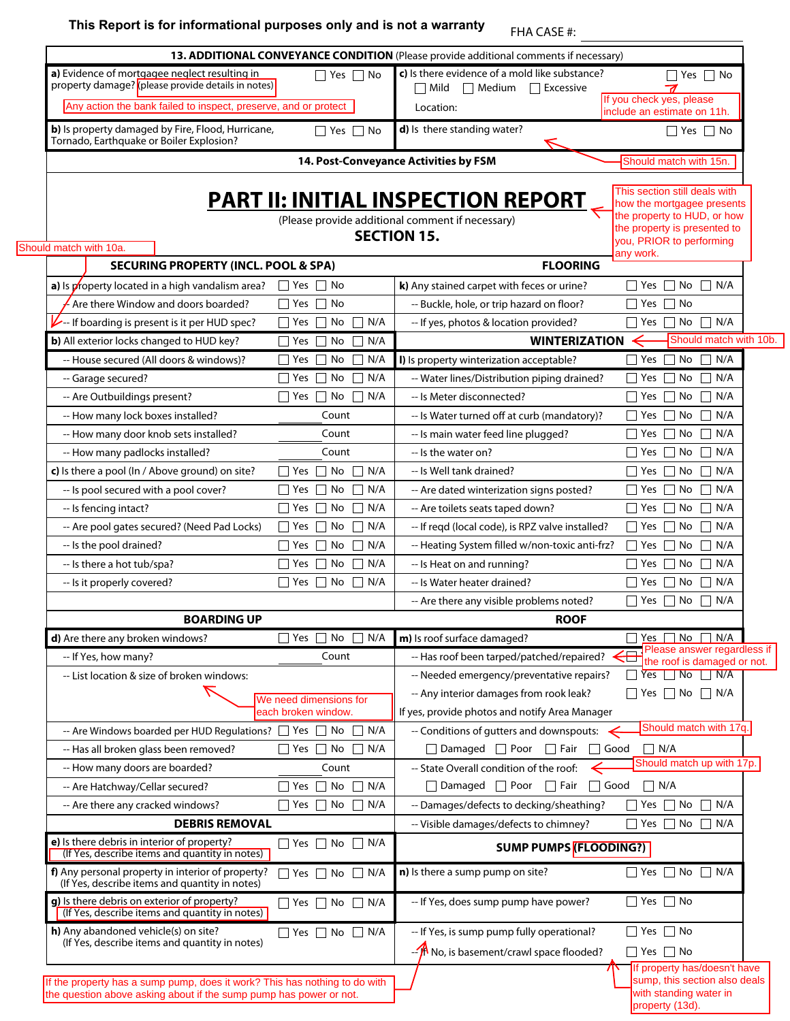## **This Report is for informational purposes only and is not a warranty** FHA CASE #:

| a) Evidence of mortgagee neglect resulting in<br>property damage? (please provide details in notes)                                              | $\Box$ Yes $\Box$ No                          | c) Is there evidence of a mold like substance?<br>$\Box$ Mild $\Box$ Medium<br>$\Box$ Excessive | $\Box$ Yes $\Box$ No                                                                            |
|--------------------------------------------------------------------------------------------------------------------------------------------------|-----------------------------------------------|-------------------------------------------------------------------------------------------------|-------------------------------------------------------------------------------------------------|
| Any action the bank failed to inspect, preserve, and or protect                                                                                  |                                               | Location:                                                                                       | If you check yes, please                                                                        |
| b) Is property damaged by Fire, Flood, Hurricane,                                                                                                | No<br>│ Yes │ │                               | d) Is there standing water?                                                                     | include an estimate on 11h.<br>$\Box$ Yes $\Box$ No                                             |
| Tornado, Earthquake or Boiler Explosion?                                                                                                         |                                               |                                                                                                 |                                                                                                 |
|                                                                                                                                                  |                                               | 14. Post-Conveyance Activities by FSM                                                           | Should match with 15n.                                                                          |
|                                                                                                                                                  |                                               | <b>PART II: INITIAL INSPECTION REPORT</b>                                                       | This section still deals with<br>how the mortgagee presents                                     |
|                                                                                                                                                  |                                               | (Please provide additional comment if necessary)                                                | the property to HUD, or how                                                                     |
|                                                                                                                                                  |                                               | <b>SECTION 15.</b>                                                                              | the property is presented to<br>you, PRIOR to performing                                        |
| Should match with 10a.                                                                                                                           |                                               |                                                                                                 | any work.                                                                                       |
| <b>SECURING PROPERTY (INCL. POOL &amp; SPA)</b>                                                                                                  |                                               | <b>FLOORING</b>                                                                                 |                                                                                                 |
| a) Is property located in a high vandalism area?                                                                                                 | $\Box$ Yes $\Box$ No                          | k) Any stained carpet with feces or urine?                                                      | $\Box$ N/A<br>$\exists$ Yes  <br>No                                                             |
| Are there Window and doors boarded?                                                                                                              | $\Box$ No<br>$\Box$ Yes                       | -- Buckle, hole, or trip hazard on floor?                                                       | ∩ No<br>$\sqsupset$ Yes                                                                         |
| $\triangleright$ --If boarding is present is it per HUD spec?                                                                                    | N/A<br>No<br>l Yes                            | -- If yes, photos & location provided?                                                          | No<br>$\Box$ N/A<br>  Yes                                                                       |
| <b>b)</b> All exterior locks changed to HUD key?                                                                                                 | N/A<br>$\sqsupset$ Yes<br>No                  | <b>WINTERIZATION</b>                                                                            | Should match with 10b.                                                                          |
| -- House secured (All doors & windows)?                                                                                                          | No<br>N/A<br>$\sqsupset$ Yes<br>$\perp$       | I) Is property winterization acceptable?                                                        | No<br>$\Box$<br>N/A<br>Yes                                                                      |
| -- Garage secured?                                                                                                                               | N/A<br>No<br>∣ Yes<br>$\Box$                  | -- Water lines/Distribution piping drained?                                                     | No<br>$\Box$ N/A<br>Yes                                                                         |
| -- Are Outbuildings present?                                                                                                                     | $\Box$ N/A<br>$\Box$ Yes $\Box$ No            | -- Is Meter disconnected?                                                                       | $\sqsupset$ Yes<br>No<br>$\Box$<br>N/A                                                          |
| -- How many lock boxes installed?                                                                                                                | Count                                         | -- Is Water turned off at curb (mandatory)?                                                     | N/A<br>  Yes<br>No<br>$\perp$                                                                   |
| -- How many door knob sets installed?                                                                                                            | Count                                         | -- Is main water feed line plugged?                                                             | П<br>N/A<br>$\sqcap$ Yes<br>No                                                                  |
| -- How many padlocks installed?                                                                                                                  | Count                                         | -- Is the water on?                                                                             | No<br>П<br>N/A<br>  Yes                                                                         |
| c) Is there a pool (In / Above ground) on site?                                                                                                  | No<br>$\Box$ N/A<br>$\Box$ Yes $\Box$         | -- Is Well tank drained?                                                                        | $\Box$ N/A<br>No<br>  Yes                                                                       |
| -- Is pool secured with a pool cover?                                                                                                            | N/A<br>$\Box$ Yes<br>No<br>$\Box$             | -- Are dated winterization signs posted?                                                        | $\sqsupset$ Yes<br>No<br>$\Box$ N/A                                                             |
| -- Is fencing intact?                                                                                                                            | N/A<br>l lYes<br>No<br>$\perp$                | -- Are toilets seats taped down?                                                                | N/A<br>  Yes<br>No<br>ГI                                                                        |
| -- Are pool gates secured? (Need Pad Locks)                                                                                                      | $\Box$ Yes<br>П<br>N/A<br>No                  | -- If reqd (local code), is RPZ valve installed?                                                | П<br>N/A<br>□ Yes<br>No                                                                         |
| -- Is the pool drained?                                                                                                                          | N/A<br>$\Box$ Yes<br>No<br>П                  | -- Heating System filled w/non-toxic anti-frz?                                                  | Yes<br>No<br>П<br>N/A                                                                           |
| -- Is there a hot tub/spa?                                                                                                                       | N/A<br>∣ ∣ Yes<br>No<br>$\Box$                | -- Is Heat on and running?                                                                      | Yes<br>No<br>$\Box$ N/A                                                                         |
| -- Is it properly covered?                                                                                                                       | $\Box$ N/A<br>$\Box$ Yes $\Box$ No            | -- Is Water heater drained?                                                                     | $\sqsupset$ Yes<br>No<br>$\Box$ N/A                                                             |
|                                                                                                                                                  |                                               | -- Are there any visible problems noted?                                                        | $\Box$ N/A<br>    Yes  <br>No                                                                   |
| <b>BOARDING UP</b>                                                                                                                               |                                               | <b>ROOF</b>                                                                                     |                                                                                                 |
| d) Are there any broken windows?                                                                                                                 | $\Box$ Yes $\Box$ No $\Box$ N/A               | m) Is roof surface damaged?                                                                     | Yes No N/A<br>Please answer regardless if                                                       |
| -- If Yes, how many?                                                                                                                             | Count                                         | -- Has roof been tarped/patched/repaired?                                                       | $\frac{1}{\sqrt{1-\frac{1}{n}}}$ the roof is damaged or not.<br>$\Box$ Yes $\Box$ No $\Box$ N/A |
| -- List location & size of broken windows:                                                                                                       |                                               | -- Needed emergency/preventative repairs?                                                       | $\Box$ Yes $\Box$ No $\Box$ N/A                                                                 |
|                                                                                                                                                  | We need dimensions for<br>each broken window. | -- Any interior damages from rook leak?<br>If yes, provide photos and notify Area Manager       |                                                                                                 |
| -- Are Windows boarded per HUD Regulations? $\Box$ Yes $\Box$ No                                                                                 | N/A<br>$\Box$                                 | -- Conditions of gutters and downspouts:                                                        | Should match with 17q.                                                                          |
| -- Has all broken glass been removed?                                                                                                            | $\Box$ Yes $\Box$ No $\Box$ N/A               | $\Box$ Damaged $\Box$ Poor<br>$\Box$ Fair                                                       | $\Box$ N/A<br>$\Box$ Good                                                                       |
| -- How many doors are boarded?                                                                                                                   | Count                                         | -- State Overall condition of the roof:                                                         | Should match up with 17p.                                                                       |
| -- Are Hatchway/Cellar secured?                                                                                                                  | $\Box$ Yes<br>$\Box$ No<br>N/A<br>l 1         | $\Box$ Damaged $\Box$ Poor<br>$\Box$ Fair                                                       | $\Box$ Good<br>$\Box$ N/A                                                                       |
| -- Are there any cracked windows?                                                                                                                | $\Box$ Yes $\Box$ No<br>$\Box$ N/A            | -- Damages/defects to decking/sheathing?                                                        | $\Box$ No<br>$\sqsupset$ Yes<br>$\Box$<br>N/A                                                   |
| <b>DEBRIS REMOVAL</b>                                                                                                                            |                                               | -- Visible damages/defects to chimney?                                                          | $\lnot$ Yes $\lnot$ No<br>$\Box$ N/A                                                            |
| e) Is there debris in interior of property?                                                                                                      | $\Box$ Yes $\Box$ No $\Box$ N/A               |                                                                                                 |                                                                                                 |
| (If Yes, describe items and quantity in notes)                                                                                                   |                                               | <b>SUMP PUMPS (FLOODING?)</b>                                                                   |                                                                                                 |
| f) Any personal property in interior of property?<br>(If Yes, describe items and quantity in notes)                                              | $\Box$ Yes $\Box$ No $\Box$ N/A               | n) Is there a sump pump on site?                                                                | $\Box$ Yes $\Box$ No $\Box$ N/A                                                                 |
| g) Is there debris on exterior of property?<br>(If Yes, describe items and quantity in notes)                                                    | $\Box$ Yes $\Box$ No $\Box$ N/A               | -- If Yes, does sump pump have power?                                                           | $\Box$ Yes $\Box$ No                                                                            |
| h) Any abandoned vehicle(s) on site?                                                                                                             | $\Box$ Yes $\Box$ No $\Box$ N/A               | -- If Yes, is sump pump fully operational?                                                      | $\Box$ Yes $\Box$ No                                                                            |
| (If Yes, describe items and quantity in notes)                                                                                                   |                                               | -- Th No, is basement/crawl space flooded?                                                      | $\Box$ Yes $\Box$ No                                                                            |
| If the property has a sump pump, does it work? This has nothing to do with<br>the question above asking about if the sump pump has power or not. |                                               |                                                                                                 | If property has/doesn't have<br>sump, this section also deals<br>with standing water in         |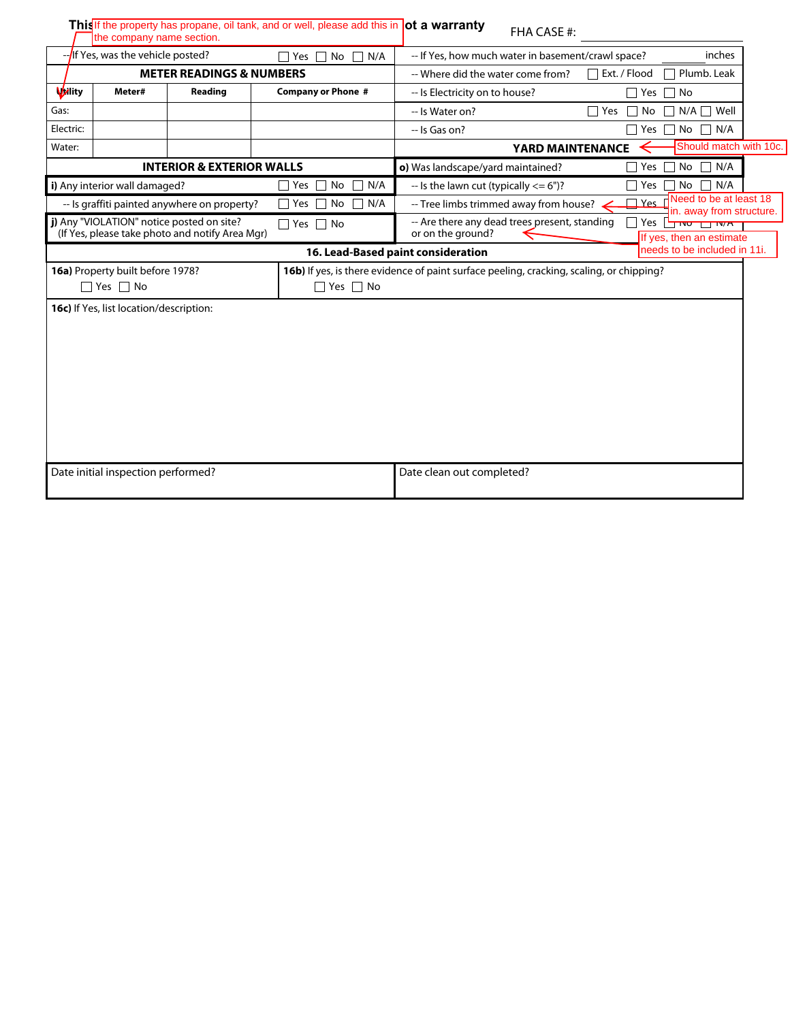|                                                                  | the company name section.                                       |                                                 | This If the property has propane, oil tank, and or well, please add this in ot a warranty | FHA CASE #:                                                                                                         |  |  |
|------------------------------------------------------------------|-----------------------------------------------------------------|-------------------------------------------------|-------------------------------------------------------------------------------------------|---------------------------------------------------------------------------------------------------------------------|--|--|
| --If Yes, was the vehicle posted?<br>N/A<br>$\Box$<br>Yes<br>No. |                                                                 |                                                 |                                                                                           | inches<br>-- If Yes, how much water in basement/crawl space?                                                        |  |  |
| <b>METER READINGS &amp; NUMBERS</b>                              |                                                                 |                                                 |                                                                                           | Plumb. Leak<br>$\sqcap$ Ext. / Flood<br>-- Where did the water come from?                                           |  |  |
| <b>Vality</b>                                                    | Meter#                                                          | Reading                                         | <b>Company or Phone #</b>                                                                 | -- Is Electricity on to house?<br>Yes<br>$\Box$ No                                                                  |  |  |
| Gas:                                                             |                                                                 |                                                 |                                                                                           | $N/A \prod$ Well<br>-- Is Water on?<br>$\Box$ Yes<br>No<br>$\perp$                                                  |  |  |
| Electric:                                                        |                                                                 |                                                 |                                                                                           | No<br>N/A<br>-- Is Gas on?<br>Yes                                                                                   |  |  |
| Water:                                                           |                                                                 |                                                 |                                                                                           | Should match with 10c.<br><b>YARD MAINTENANCE</b>                                                                   |  |  |
|                                                                  |                                                                 | <b>INTERIOR &amp; EXTERIOR WALLS</b>            |                                                                                           | N/A<br>o) Was landscape/yard maintained?<br>No<br>$\Box$<br>Yes                                                     |  |  |
|                                                                  | i) Any interior wall damaged?                                   |                                                 | No<br>N/A<br>Yes                                                                          | N/A<br>$-$ Is the lawn cut (typically $<= 6$ ")?<br>Yes<br>No                                                       |  |  |
|                                                                  |                                                                 | -- Is graffiti painted anywhere on property?    | No<br>N/A<br>Yes                                                                          | Need to be at least 18<br><u> TYes</u> r<br>-- Tree limbs trimmed away from house? .<br>in. away from structure.    |  |  |
|                                                                  | j) Any "VIOLATION" notice posted on site?                       | (If Yes, please take photo and notify Area Mgr) | $\Box$ Yes $\Box$ No                                                                      | -- Are there any dead trees present, standing<br>Yes<br>MTWOTT W/H<br>or on the ground?<br>If yes, then an estimate |  |  |
|                                                                  |                                                                 |                                                 |                                                                                           | needs to be included in 11i.<br>16. Lead-Based paint consideration                                                  |  |  |
|                                                                  | 16a) Property built before 1978?<br>$\sqsupset$ Yes $\sqcap$ No |                                                 | $\Box$ Yes $\Box$ No                                                                      | 16b) If yes, is there evidence of paint surface peeling, cracking, scaling, or chipping?                            |  |  |
|                                                                  | 16c) If Yes, list location/description:                         |                                                 |                                                                                           |                                                                                                                     |  |  |
|                                                                  | Date initial inspection performed?                              |                                                 |                                                                                           | Date clean out completed?                                                                                           |  |  |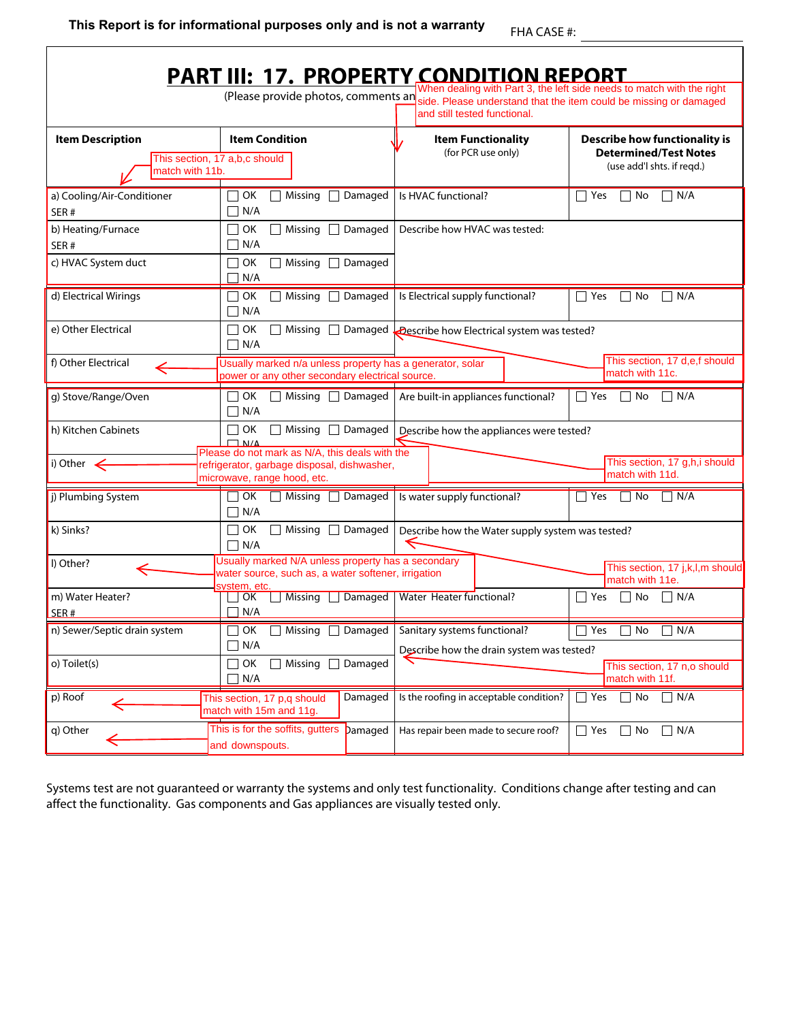|                                                   | <b>PART III: 17. PROPERTY CONDITION REPORT</b>                                                                            |                                                                                                                                       |                                                                                                    |
|---------------------------------------------------|---------------------------------------------------------------------------------------------------------------------------|---------------------------------------------------------------------------------------------------------------------------------------|----------------------------------------------------------------------------------------------------|
|                                                   |                                                                                                                           | (Please provide photos, comments an side. Please understand that the item could be missing or damaged<br>and still tested functional. | When dealing with Part 3, the left side needs to match with the right                              |
| <b>Item Description</b><br>match with 11b.        | <b>Item Condition</b><br>This section, 17 a,b,c should                                                                    | <b>Item Functionality</b><br>(for PCR use only)                                                                                       | <b>Describe how functionality is</b><br><b>Determined/Test Notes</b><br>(use add'l shts. if regd.) |
| a) Cooling/Air-Conditioner<br>SER#                | OK<br>Missing<br>□ Damaged<br>N/A                                                                                         | Is HVAC functional?                                                                                                                   | $\top$ Yes<br>$\Box$ N/A<br>∣ No                                                                   |
| b) Heating/Furnace<br>SER#<br>c) HVAC System duct | OK<br>Missing $\Box$ Damaged<br>N/A<br>Missing $\Box$ Damaged<br>OK                                                       | Describe how HVAC was tested:                                                                                                         |                                                                                                    |
| d) Electrical Wirings                             | N/A<br>OK<br>Missing □ Damaged<br>∏ N/A                                                                                   | Is Electrical supply functional?                                                                                                      | □ Yes<br>$\Box$ N/A<br>  No                                                                        |
| e) Other Electrical                               | $\sqcap$ OK<br>$\Box$ N/A                                                                                                 | Missing $\Box$ Damaged $\Box$ Describe how Electrical system was tested?                                                              |                                                                                                    |
| f) Other Electrical                               | Usually marked n/a unless property has a generator, solar<br>power or any other secondary electrical source.              |                                                                                                                                       | This section, 17 d,e,f should<br>match with 11c.                                                   |
| g) Stove/Range/Oven                               | OK<br>$\Box$ N/A                                                                                                          | $\Box$ Missing $\Box$ Damaged   Are built-in appliances functional?                                                                   | $\Box$ Yes<br>$\Box$ N/A<br>  No                                                                   |
| h) Kitchen Cabinets                               | $\Box$ OK<br>Missing $\Box$ Damaged<br>$\Box$ N/A<br>Please do not mark as N/A, this deals with the                       | Describe how the appliances were tested?                                                                                              |                                                                                                    |
| i) Other $\leq$                                   | refrigerator, garbage disposal, dishwasher,<br>microwave, range hood, etc.                                                |                                                                                                                                       | This section, 17 g,h,i should<br>match with 11d.                                                   |
| j) Plumbing System                                | Missing $\Box$ Damaged<br>OK<br>$\neg$ N/A                                                                                | Is water supply functional?                                                                                                           | Yes<br>N/A<br>  No                                                                                 |
| k) Sinks?                                         | OK<br>Missing $\Box$ Damaged<br>$\Box$ N/A                                                                                | Describe how the Water supply system was tested?                                                                                      |                                                                                                    |
| I) Other?                                         | Usually marked N/A unless property has a secondary<br>water source, such as, a water softener, irrigation<br>svstem. etc. |                                                                                                                                       | This section, 17 j,k,l,m should<br>match with 11e.                                                 |
| m) Water Heater?<br>SER#                          | Missing JDamaged   Water Heater functional?<br>∣∣OK<br>N/A                                                                |                                                                                                                                       | $\Box$ N/A<br>l Yes<br>  No                                                                        |
| n) Sewer/Septic drain system                      | Missing   Damaged<br>OK<br>N/A                                                                                            | Sanitary systems functional?<br>Describe how the drain system was tested?                                                             | $\neg$ N/A<br>Yes<br>  No<br>$\mathbf{I}$                                                          |
| o) Toilet(s)                                      | □ Damaged<br>OK<br>Missing<br>N/A                                                                                         |                                                                                                                                       | This section, 17 n,o should<br>match with 11f.                                                     |
| p) Roof                                           | Damaged<br>This section, 17 p,q should<br>match with 15m and 11g.                                                         | Is the roofing in acceptable condition?                                                                                               | $\sqsupset$ Yes<br>$\Box$ No<br>$\Box$ N/A                                                         |
| q) Other                                          | This is for the soffits, gutters<br>Damaged<br>and downspouts.                                                            | Has repair been made to secure roof?                                                                                                  | $\Box$ Yes<br>$\Box$ N/A<br>  No                                                                   |

Systems test are not guaranteed or warranty the systems and only test functionality. Conditions change after testing and can affect the functionality. Gas components and Gas appliances are visually tested only.